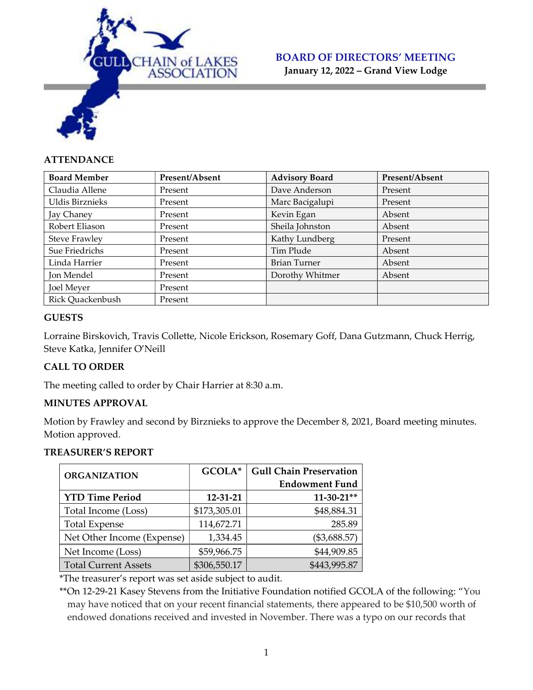

January 12, 2022 – Grand View Lodge

## **ATTENDANCE**

| <b>Board Member</b>  | Present/Absent | <b>Advisory Board</b> | Present/Absent |
|----------------------|----------------|-----------------------|----------------|
| Claudia Allene       | Present        | Dave Anderson         | Present        |
| Uldis Birznieks      | Present        | Marc Bacigalupi       | Present        |
| Jay Chaney           | Present        | Kevin Egan            | Absent         |
| Robert Eliason       | Present        | Sheila Johnston       | Absent         |
| <b>Steve Frawley</b> | Present        | Kathy Lundberg        | Present        |
| Sue Friedrichs       | Present        | Tim Plude             | Absent         |
| Linda Harrier        | Present        | <b>Brian Turner</b>   | Absent         |
| Jon Mendel           | Present        | Dorothy Whitmer       | Absent         |
| <b>Joel Meyer</b>    | Present        |                       |                |
| Rick Quackenbush     | Present        |                       |                |

#### **GUESTS**

Lorraine Birskovich, Travis Collette, Nicole Erickson, Rosemary Goff, Dana Gutzmann, Chuck Herrig, Steve Katka, Jennifer O'Neill

## CALL TO ORDER

The meeting called to order by Chair Harrier at 8:30 a.m.

## MINUTES APPROVAL

Motion by Frawley and second by Birznieks to approve the December 8, 2021, Board meeting minutes. Motion approved.

#### TREASURER'S REPORT

| <b>ORGANIZATION</b>         | GCOLA*       | <b>Gull Chain Preservation</b> |  |
|-----------------------------|--------------|--------------------------------|--|
|                             |              | <b>Endowment Fund</b>          |  |
| <b>YTD Time Period</b>      | 12-31-21     | $11-30-21**$                   |  |
| Total Income (Loss)         | \$173,305.01 | \$48,884.31                    |  |
| <b>Total Expense</b>        | 114,672.71   | 285.89                         |  |
| Net Other Income (Expense)  | 1,334.45     | $(\$3,688.57)$                 |  |
| Net Income (Loss)           | \$59,966.75  | \$44,909.85                    |  |
| <b>Total Current Assets</b> | \$306,550.17 | \$443,995.87                   |  |

\*The treasurer's report was set aside subject to audit.

\*\*On 12-29-21 Kasey Stevens from the Initiative Foundation notified GCOLA of the following: "You may have noticed that on your recent financial statements, there appeared to be \$10,500 worth of endowed donations received and invested in November. There was a typo on our records that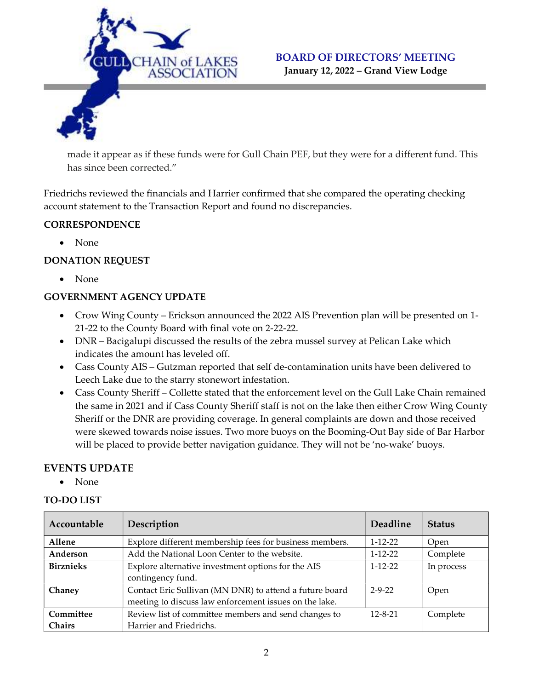

January 12, 2022 – Grand View Lodge

made it appear as if these funds were for Gull Chain PEF, but they were for a different fund. This has since been corrected."

Friedrichs reviewed the financials and Harrier confirmed that she compared the operating checking account statement to the Transaction Report and found no discrepancies.

## **CORRESPONDENCE**

None

## DONATION REQUEST

None

## GOVERNMENT AGENCY UPDATE

- Crow Wing County Erickson announced the 2022 AIS Prevention plan will be presented on 1- 21-22 to the County Board with final vote on 2-22-22.
- DNR Bacigalupi discussed the results of the zebra mussel survey at Pelican Lake which indicates the amount has leveled off.
- Cass County AIS Gutzman reported that self de-contamination units have been delivered to Leech Lake due to the starry stonewort infestation.
- Cass County Sheriff Collette stated that the enforcement level on the Gull Lake Chain remained the same in 2021 and if Cass County Sheriff staff is not on the lake then either Crow Wing County Sheriff or the DNR are providing coverage. In general complaints are down and those received were skewed towards noise issues. Two more buoys on the Booming-Out Bay side of Bar Harbor will be placed to provide better navigation guidance. They will not be 'no-wake' buoys.

## EVENTS UPDATE

• None

#### TO-DO LIST

| Accountable      | Description                                             | <b>Deadline</b> | <b>Status</b> |
|------------------|---------------------------------------------------------|-----------------|---------------|
| Allene           | Explore different membership fees for business members. | $1 - 12 - 22$   | Open          |
| Anderson         | Add the National Loon Center to the website.            | $1 - 12 - 22$   | Complete      |
| <b>Birznieks</b> | Explore alternative investment options for the AIS      | $1 - 12 - 22$   | In process    |
|                  | contingency fund.                                       |                 |               |
| Chaney           | Contact Eric Sullivan (MN DNR) to attend a future board | $2 - 9 - 22$    | Open          |
|                  | meeting to discuss law enforcement issues on the lake.  |                 |               |
| Committee        | Review list of committee members and send changes to    | $12 - 8 - 21$   | Complete      |
| <b>Chairs</b>    | Harrier and Friedrichs.                                 |                 |               |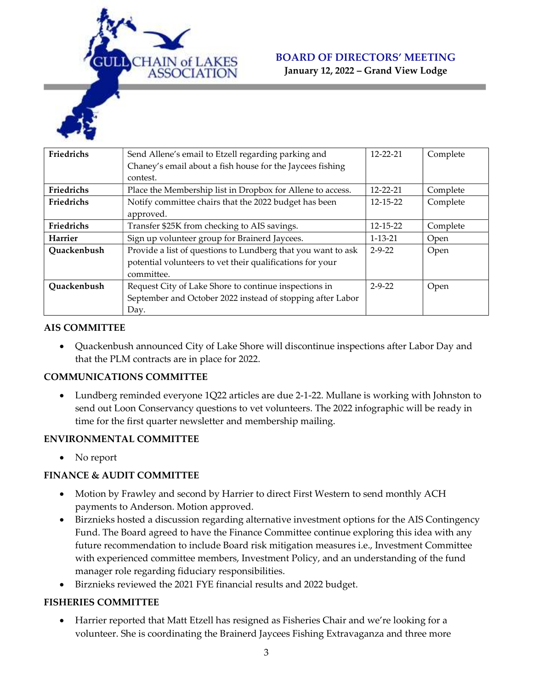

January 12, 2022 – Grand View Lodge

| Friedrichs     | Send Allene's email to Etzell regarding parking and          | $12 - 22 - 21$ | Complete |
|----------------|--------------------------------------------------------------|----------------|----------|
|                | Chaney's email about a fish house for the Jaycees fishing    |                |          |
|                | contest.                                                     |                |          |
| Friedrichs     | Place the Membership list in Dropbox for Allene to access.   | $12 - 22 - 21$ | Complete |
| Friedrichs     | Notify committee chairs that the 2022 budget has been        | 12-15-22       | Complete |
|                | approved.                                                    |                |          |
| Friedrichs     | Transfer \$25K from checking to AIS savings.                 | $12 - 15 - 22$ | Complete |
| <b>Harrier</b> | Sign up volunteer group for Brainerd Jaycees.                | $1 - 13 - 21$  | Open     |
| Quackenbush    | Provide a list of questions to Lundberg that you want to ask | $2 - 9 - 22$   | Open     |
|                | potential volunteers to vet their qualifications for your    |                |          |
|                | committee.                                                   |                |          |
| Quackenbush    | Request City of Lake Shore to continue inspections in        | $2 - 9 - 22$   | Open     |
|                | September and October 2022 instead of stopping after Labor   |                |          |
|                | Day.                                                         |                |          |

#### AIS COMMITTEE

 Quackenbush announced City of Lake Shore will discontinue inspections after Labor Day and that the PLM contracts are in place for 2022.

#### COMMUNICATIONS COMMITTEE

 Lundberg reminded everyone 1Q22 articles are due 2-1-22. Mullane is working with Johnston to send out Loon Conservancy questions to vet volunteers. The 2022 infographic will be ready in time for the first quarter newsletter and membership mailing.

#### ENVIRONMENTAL COMMITTEE

• No report

#### FINANCE & AUDIT COMMITTEE

- Motion by Frawley and second by Harrier to direct First Western to send monthly ACH payments to Anderson. Motion approved.
- Birznieks hosted a discussion regarding alternative investment options for the AIS Contingency Fund. The Board agreed to have the Finance Committee continue exploring this idea with any future recommendation to include Board risk mitigation measures i.e., Investment Committee with experienced committee members, Investment Policy, and an understanding of the fund manager role regarding fiduciary responsibilities.
- Birznieks reviewed the 2021 FYE financial results and 2022 budget.

#### FISHERIES COMMITTEE

 Harrier reported that Matt Etzell has resigned as Fisheries Chair and we're looking for a volunteer. She is coordinating the Brainerd Jaycees Fishing Extravaganza and three more